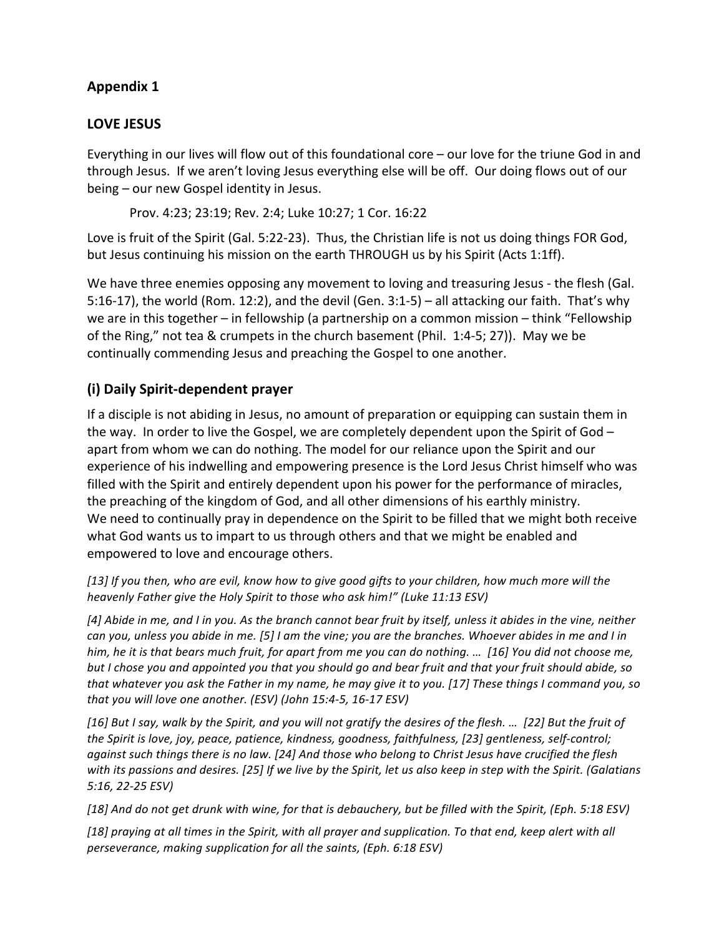# **Appendix 1**

## LOVE JESUS

Everything in our lives will flow out of this foundational core – our love for the triune God in and through Jesus. If we aren't loving Jesus everything else will be off. Our doing flows out of our  $being - our new Gospel identity in Jesus.$ 

Prov. 4:23; 23:19; Rev. 2:4; Luke 10:27; 1 Cor. 16:22

Love is fruit of the Spirit (Gal. 5:22-23). Thus, the Christian life is not us doing things FOR God, but Jesus continuing his mission on the earth THROUGH us by his Spirit (Acts 1:1ff).

We have three enemies opposing any movement to loving and treasuring Jesus - the flesh (Gal. 5:16-17), the world (Rom. 12:2), and the devil (Gen.  $3:1-5$ ) – all attacking our faith. That's why we are in this together – in fellowship (a partnership on a common mission – think "Fellowship of the Ring," not tea & crumpets in the church basement (Phil.  $1:4-5$ ; 27)). May we be continually commending Jesus and preaching the Gospel to one another.

# **(i) Daily Spirit-dependent prayer**

If a disciple is not abiding in Jesus, no amount of preparation or equipping can sustain them in the way. In order to live the Gospel, we are completely dependent upon the Spirit of God – apart from whom we can do nothing. The model for our reliance upon the Spirit and our experience of his indwelling and empowering presence is the Lord Jesus Christ himself who was filled with the Spirit and entirely dependent upon his power for the performance of miracles, the preaching of the kingdom of God, and all other dimensions of his earthly ministry. We need to continually pray in dependence on the Spirit to be filled that we might both receive what God wants us to impart to us through others and that we might be enabled and empowered to love and encourage others.

[13] If you then, who are evil, know how to give good gifts to your children, how much more will the *heavenly Father give the Holy Spirit to those who ask him!" (Luke 11:13 ESV)* 

[4] Abide in me, and I in you. As the branch cannot bear fruit by itself, unless it abides in the vine, neither *can you, unless you abide in me.* [5] I am the vine; you are the branches. Whoever abides in me and I in *him, he it is that bears much fruit, for apart from me you can do nothing. ...* [16] You did not choose me, *but* I chose you and appointed you that you should go and bear fruit and that your fruit should abide, so that whatever you ask the Father in my name, he may give it to you. [17] These things I command you, so *that you will love one another. (ESV) (John 15:4-5, 16-17 ESV)* 

*[16] But I say, walk by the Spirit, and you will not gratify the desires of the flesh. … [22] But the fruit of*  the Spirit is love, joy, peace, patience, kindness, goodness, faithfulness, [23] gentleness, self-control; against such things there is no law. [24] And those who belong to Christ Jesus have crucified the flesh *with* its passions and desires. [25] If we live by the Spirit, let us also keep in step with the Spirit. (Galatians *5:16, 22-25 ESV)*

*[18] And do not get drunk with wine, for that is debauchery, but be filled with the Spirit, (Eph. 5:18 ESV)*

[18] praying at all times in the Spirit, with all prayer and supplication. To that end, keep alert with all *perseverance, making supplication for all the saints, (Eph. 6:18 ESV)*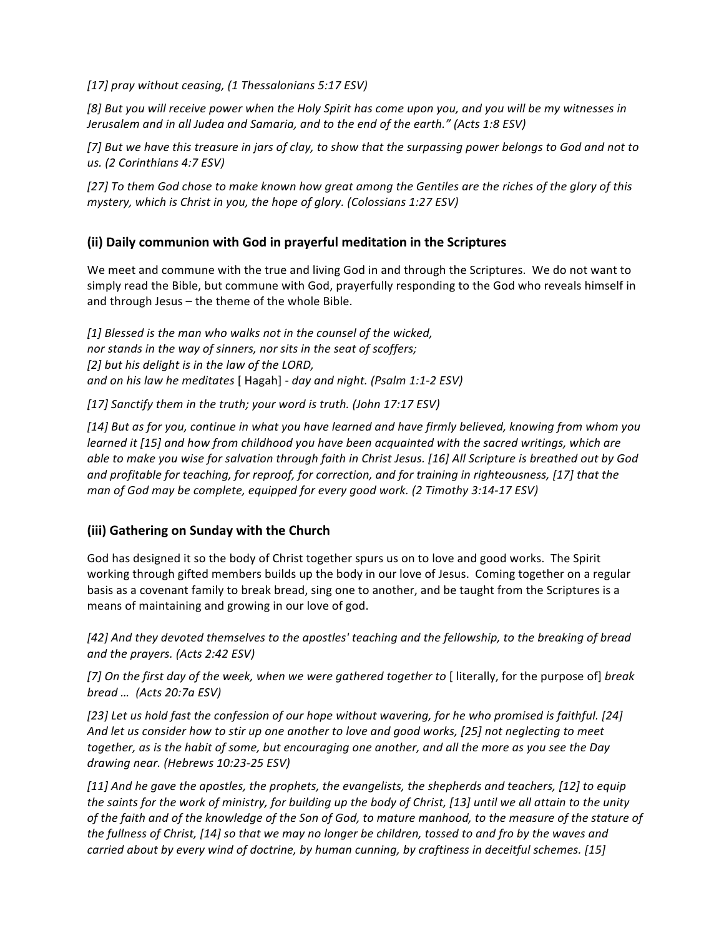[17] pray without ceasing, (1 Thessalonians 5:17 ESV)

[8] But you will receive power when the Holy Spirit has come upon you, and you will be my witnesses in *Jerusalem and in all Judea and Samaria, and to the end of the earth."* (Acts 1:8 ESV)

[7] But we have this treasure in jars of clay, to show that the surpassing power belongs to God and not to *us. (2 Corinthians 4:7 ESV)*

*[27] To them God chose to make known how great among the Gentiles are the riches of the glory of this mystery, which is Christ in you, the hope of glory. (Colossians 1:27 ESV)* 

## **(ii) Daily communion with God in prayerful meditation in the Scriptures**

We meet and commune with the true and living God in and through the Scriptures. We do not want to simply read the Bible, but commune with God, prayerfully responding to the God who reveals himself in and through Jesus  $-$  the theme of the whole Bible.

[1] Blessed is the man who walks not in the counsel of the wicked, *nor stands in the way of sinners, nor sits in the seat of scoffers;* [2] but his delight is in the law of the LORD, *and* on his law he meditates [ Hagah] - day and night. (Psalm 1:1-2 ESV)

[17] Sanctify them in the truth; your word is truth. (John 17:17 ESV)

*[14] But as for you, continue in what you have learned and have firmly believed, knowing from whom you learned* it [15] and how from childhood you have been acquainted with the sacred writings, which are able to make you wise for salvation through faith in Christ Jesus. [16] All Scripture is breathed out by God and profitable for teaching, for reproof, for correction, and for training in righteousness, [17] that the *man of God may be complete, equipped for every good work. (2 Timothy 3:14-17 ESV)* 

## **(iii) Gathering on Sunday with the Church**

God has designed it so the body of Christ together spurs us on to love and good works. The Spirit working through gifted members builds up the body in our love of Jesus. Coming together on a regular basis as a covenant family to break bread, sing one to another, and be taught from the Scriptures is a means of maintaining and growing in our love of god.

[42] And they devoted themselves to the apostles' teaching and the fellowship, to the breaking of bread *and the prayers. (Acts 2:42 ESV)* 

[7] On the first day of the week, when we were gathered together to [ literally, for the purpose of] *break bread … (Acts 20:7a ESV)*

[23] Let us hold fast the confession of our hope without wavering, for he who promised is faithful. [24] And let us consider how to stir up one another to love and good works, [25] not neglecting to meet together, as is the habit of some, but encouraging one another, and all the more as you see the Day *drawing near. (Hebrews 10:23-25 ESV)*

[11] And he gave the apostles, the prophets, the evangelists, the shepherds and teachers, [12] to equip the saints for the work of ministry, for building up the body of Christ, [13] until we all attain to the unity of the faith and of the knowledge of the Son of God, to mature manhood, to the measure of the stature of the fullness of Christ, [14] so that we may no longer be children, tossed to and fro by the waves and *carried about by every wind of doctrine, by human cunning, by craftiness in deceitful schemes.* [15]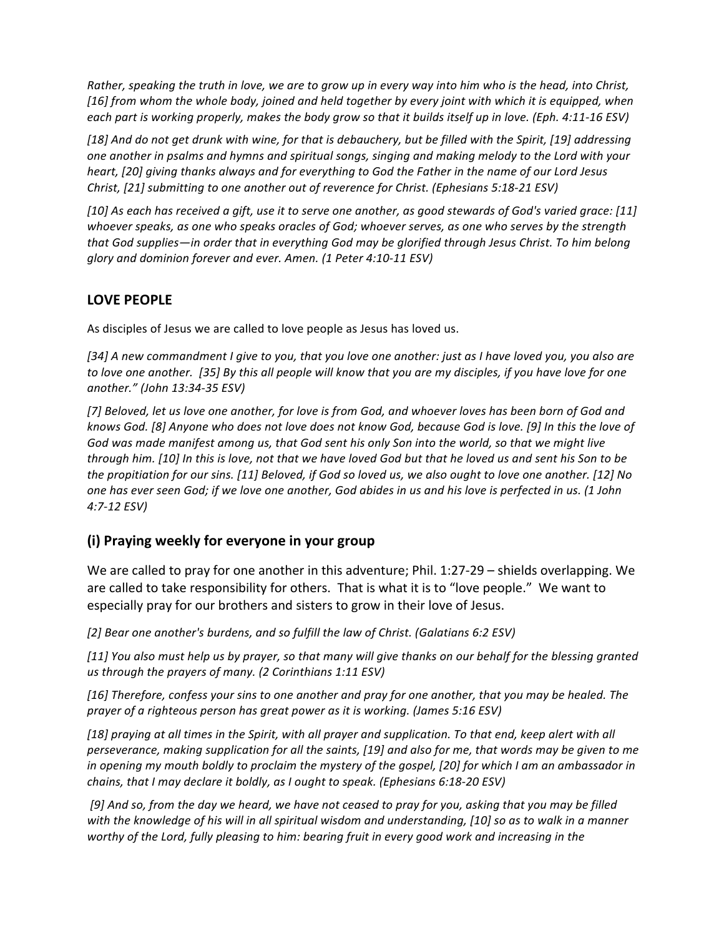*Rather, speaking the truth in love, we are to grow up in every way into him who is the head, into Christ, [16] from whom the whole body, joined and held together by every joint with which it is equipped, when each part is working properly, makes the body grow so that it builds itself up in love. (Eph. 4:11-16 ESV)* 

[18] And do not get drunk with wine, for that is debauchery, but be filled with the Spirit, [19] addressing one another in psalms and hymns and spiritual songs, singing and making melody to the Lord with your *heart,* [20] giving thanks always and for everything to God the Father in the name of our Lord Jesus Christ, [21] submitting to one another out of reverence for Christ. (Ephesians 5:18-21 ESV)

[10] As each has received a gift, use it to serve one another, as good stewards of God's varied grace: [11] whoever speaks, as one who speaks oracles of God; whoever serves, as one who serves by the strength that God supplies—in order that in everything God may be glorified through Jesus Christ. To him belong *glory and dominion forever and ever. Amen. (1 Peter 4:10-11 ESV)*

## **LOVE PEOPLE**

As disciples of Jesus we are called to love people as Jesus has loved us.

[34] A new commandment I give to you, that you love one another: just as I have loved you, you also are to love one another. [35] By this all people will know that you are my disciples, if you have love for one *another." (John 13:34-35 ESV)*

[7] Beloved, let us love one another, for love is from God, and whoever loves has been born of God and knows God. [8] Anyone who does not love does not know God, because God is love. [9] In this the love of God was made manifest among us, that God sent his only Son into the world, so that we might live *through him.* [10] In this is love, not that we have loved God but that he loved us and sent his Son to be *the propitiation for our sins.* [11] Beloved, if God so loved us, we also ought to love one another. [12] No one has ever seen God; if we love one another, God abides in us and his love is perfected in us. (1 John *4:7-12 ESV)*

# **(i) Praying weekly for everyone in your group**

We are called to pray for one another in this adventure; Phil. 1:27-29 - shields overlapping. We are called to take responsibility for others. That is what it is to "love people." We want to especially pray for our brothers and sisters to grow in their love of Jesus.

[2] Bear one another's burdens, and so fulfill the law of Christ. (Galatians 6:2 ESV)

[11] You also must help us by prayer, so that many will give thanks on our behalf for the blessing granted *us* through the prayers of many. (2 Corinthians 1:11 ESV)

[16] Therefore, confess your sins to one another and pray for one another, that you may be healed. The *prayer* of a righteous person has great power as it is working. (James 5:16 ESV)

[18] praying at all times in the Spirit, with all prayer and supplication. To that end, keep alert with all perseverance, making supplication for all the saints, [19] and also for me, that words may be given to me *in* opening my mouth boldly to proclaim the mystery of the gospel, [20] for which I am an ambassador in *chains, that I may declare it boldly, as I ought to speak. (Ephesians 6:18-20 ESV)* 

[9] And so, from the day we heard, we have not ceased to pray for you, asking that you may be filled *with* the knowledge of his will in all spiritual wisdom and understanding, [10] so as to walk in a manner worthy of the Lord, fully pleasing to him: bearing fruit in every good work and increasing in the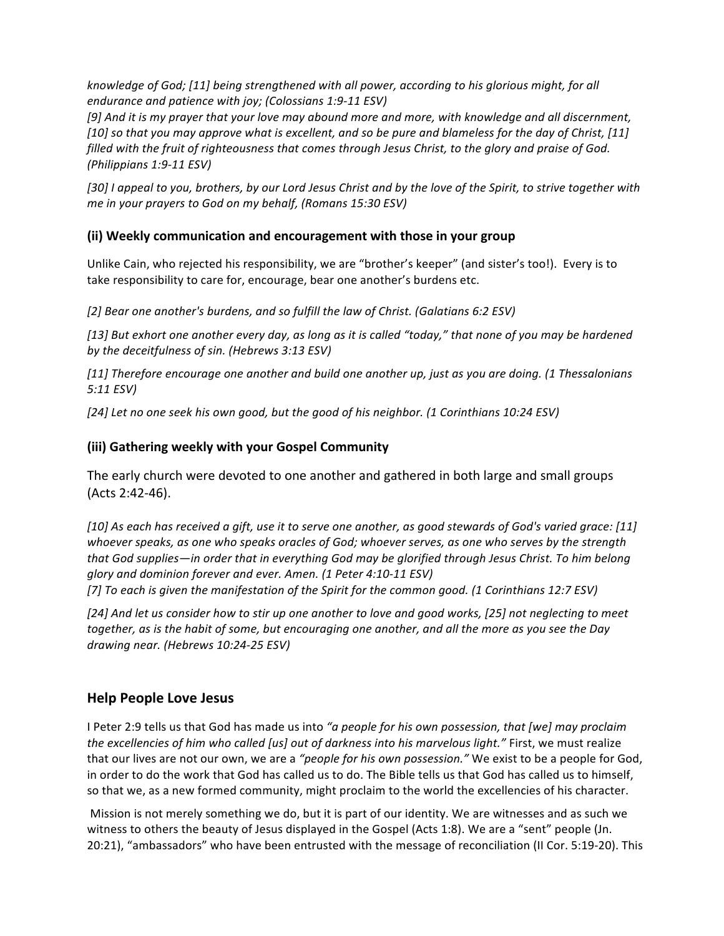knowledge of God; [11] being strengthened with all power, according to his glorious might, for all *endurance and patience with joy; (Colossians 1:9-11 ESV)* 

[9] And it is my prayer that your love may abound more and more, with knowledge and all discernment, *[10]* so that you may approve what is excellent, and so be pure and blameless for the day of Christ, *[11] filled* with the fruit of righteousness that comes through Jesus Christ, to the glory and praise of God. *(Philippians 1:9-11 ESV)*

[30] I appeal to you, brothers, by our Lord Jesus Christ and by the love of the Spirit, to strive together with *me in your prayers to God on my behalf, (Romans 15:30 ESV)* 

## **(ii)** Weekly communication and encouragement with those in your group

Unlike Cain, who rejected his responsibility, we are "brother's keeper" (and sister's too!). Every is to take responsibility to care for, encourage, bear one another's burdens etc.

[2] Bear one another's burdens, and so fulfill the law of Christ. (Galatians 6:2 ESV)

[13] But exhort one another every day, as long as it is called "today," that none of you may be hardened *by the deceitfulness of sin. (Hebrews 3:13 ESV)*

*[11] Therefore encourage one another and build one another up, just as you are doing. (1 Thessalonians 5:11 ESV)*

[24] Let no one seek his own good, but the good of his neighbor. (1 Corinthians 10:24 ESV)

## **(iii) Gathering weekly with your Gospel Community**

The early church were devoted to one another and gathered in both large and small groups (Acts 2:42-46).

*[10] As each has received a gift, use it to serve one another, as good stewards of God's varied grace: [11]*  whoever speaks, as one who speaks oracles of God; whoever serves, as one who serves by the strength that God supplies—in order that in everything God may be glorified through Jesus Christ. To him belong glory and dominion forever and ever. Amen. (1 Peter 4:10-11 ESV) *[7] To each is given the manifestation of the Spirit for the common good. (1 Corinthians 12:7 ESV)*

[24] And let us consider how to stir up one another to love and good works, [25] not neglecting to meet together, as is the habit of some, but encouraging one another, and all the more as you see the Day *drawing near. (Hebrews 10:24-25 ESV)*

## **Help People Love Jesus**

I Peter 2:9 tells us that God has made us into "a people for his own possession, that [we] may proclaim *the excellencies of him who called [us] out of darkness into his marvelous light."* First, we must realize that our lives are not our own, we are a "people for his own possession." We exist to be a people for God, in order to do the work that God has called us to do. The Bible tells us that God has called us to himself, so that we, as a new formed community, might proclaim to the world the excellencies of his character.

Mission is not merely something we do, but it is part of our identity. We are witnesses and as such we witness to others the beauty of Jesus displayed in the Gospel (Acts 1:8). We are a "sent" people (Jn. 20:21), "ambassadors" who have been entrusted with the message of reconciliation (II Cor. 5:19-20). This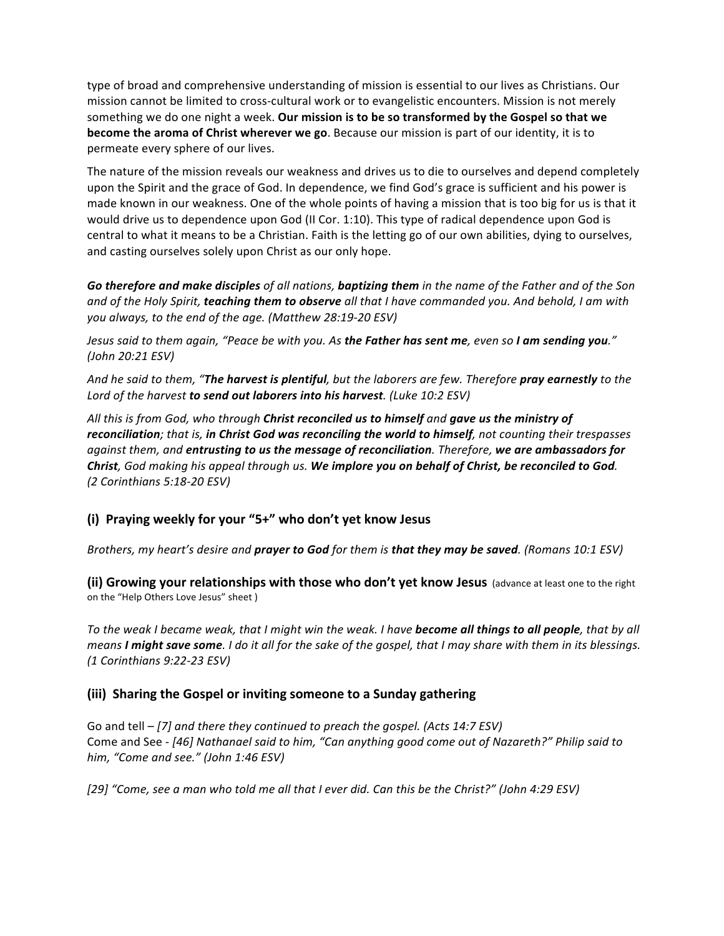type of broad and comprehensive understanding of mission is essential to our lives as Christians. Our mission cannot be limited to cross-cultural work or to evangelistic encounters. Mission is not merely something we do one night a week. Our mission is to be so transformed by the Gospel so that we **become the aroma of Christ wherever we go**. Because our mission is part of our identity, it is to permeate every sphere of our lives.

The nature of the mission reveals our weakness and drives us to die to ourselves and depend completely upon the Spirit and the grace of God. In dependence, we find God's grace is sufficient and his power is made known in our weakness. One of the whole points of having a mission that is too big for us is that it would drive us to dependence upon God (II Cor. 1:10). This type of radical dependence upon God is central to what it means to be a Christian. Faith is the letting go of our own abilities, dying to ourselves, and casting ourselves solely upon Christ as our only hope.

Go therefore and make disciples of all nations, baptizing them in the name of the Father and of the Son and of the Holy Spirit, **teaching them to observe** all that I have commanded you. And behold, I am with you always, to the end of the age. (Matthew 28:19-20 ESV)

*Jesus* said to them again, "Peace be with you. As the Father has sent me, even so I am sending you." *(John 20:21 ESV)* 

And he said to them, "**The harvest is plentiful**, but the laborers are few. Therefore **pray earnestly** to the Lord of the harvest **to send out laborers into his harvest**. (Luke 10:2 ESV)

All this is from God, who through **Christ reconciled us to himself** and **gave us the ministry of** reconciliation; that is, in Christ God was reconciling the world to himself, not counting their trespasses *against them, and entrusting to us the message of reconciliation. Therefore, we are ambassadors for Christ*, God making his appeal through us. We implore you on behalf of Christ, be reconciled to God. *(2 Corinthians 5:18-20 ESV)* 

## (i) Praying weekly for your "5+" who don't yet know Jesus

*Brothers, my heart's desire and prayer to God for them is that they may be saved. (Romans 10:1 ESV)* 

**(ii) Growing your relationships with those who don't yet know Jesus** (advance at least one to the right on the "Help Others Love Jesus" sheet )

To the weak I became weak, that I might win the weak. I have **become all things to all people**, that by all *means I* might save some. I do it all for the sake of the gospel, that I may share with them in its blessings. *(1 Corinthians 9:22-23 ESV)* 

## (iii) Sharing the Gospel or inviting someone to a Sunday gathering

Go and tell – [7] and there they continued to preach the gospel. (Acts 14:7 ESV) Come and See - [46] Nathanael said to him, "Can anything good come out of Nazareth?" Philip said to *him, "Come and see." (John 1:46 ESV)*

*[29] "Come, see a man who told me all that I ever did. Can this be the Christ?" (John 4:29 ESV)*